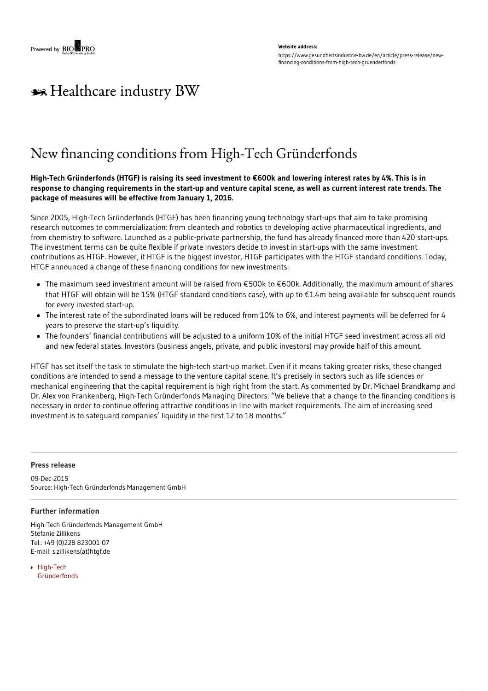#### **Website address:** https://www.gesundheitsindustrie-bw.de/en/article/press-release/newfinancing-conditions-from-high-tech-gruenderfonds

# \*\* Healthcare industry BW

## New financing conditions from High-Tech Gründerfonds

### High-Tech Gründerfonds (HTGF) is raising its seed investment to €600k and lowering interest rates by 4%. This is in response to changing requirements in the start-up and venture capital scene, as well as current interest rate trends. The **package of measures will be effective from January 1, 2016.**

Since 2005, High-Tech Gründerfonds (HTGF) has been financing young technology start-ups that aim to take promising research outcomes to commercialization: from cleantech and robotics to developing active pharmaceutical ingredients, and from chemistry to software. Launched as a public-private partnership, the fund has already financed more than 420 start-ups. The investment terms can be quite flexible if private investors decide to invest in start-ups with the same investment contributions as HTGF. However, if HTGF is the biggest investor, HTGF participates with the HTGF standard conditions. Today, HTGF announced a change of these financing conditions for new investments:

- The maximum seed investment amount will be raised from €500k to €600k. Additionally, the maximum amount of shares that HTGF will obtain will be 15% (HTGF standard conditions case), with up to €1.4m being available for subsequent rounds for every invested start-up.
- The interest rate of the subordinated loans will be reduced from 10% to 6%, and interest payments will be deferred for 4 years to preserve the start-up's liquidity.
- The founders' financial contributions will be adjusted to a uniform 10% of the initial HTGF seed investment across all old and new federal states. Investors (business angels, private, and public investors) may provide half of this amount.

HTGF has set itself the task to stimulate the high-tech start-up market. Even if it means taking greater risks, these changed conditions are intended to send a message to the venture capital scene. It's precisely in sectors such as life sciences or mechanical engineering that the capital requirement is high right from the start. As commented by Dr. Michael Brandkamp and Dr. Alex von Frankenberg, High-Tech Gründerfonds Managing Directors: "We believe that a change to the financing conditions is necessary in order to continue offering attractive conditions in line with market requirements. The aim of increasing seed investment is to safeguard companies' liquidity in the first 12 to 18 months."

#### **Press release**

09-Dec-2015 Source: High-Tech Gründerfonds Management GmbH

#### **Further information**

High-Tech Gründerfonds Management GmbH Stefanie Zillikens Tel.: +49 (0)228 823001-07 E-mail: s.zillikens(at)htgf.de

▶ High-Tech [Gründerfonds](http://high-tech-gruenderfonds.de/en/)